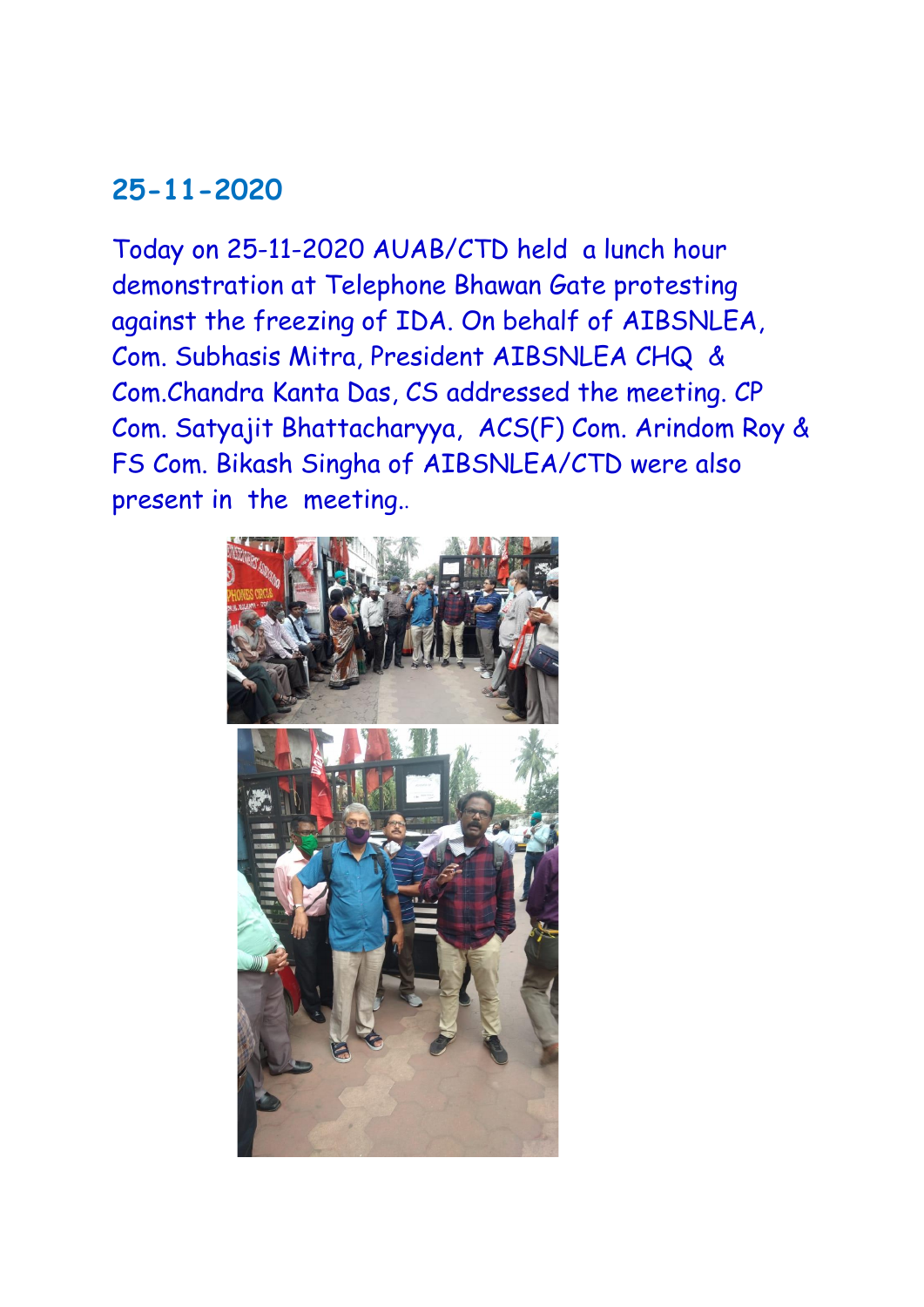### **25-11-2020**

Today on 25-11-2020 AUAB/CTD held a lunch hour demonstration at Telephone Bhawan Gate protesting against the freezing of IDA. On behalf of AIBSNLEA, Com. Subhasis Mitra, President AIBSNLEA CHQ & Com.Chandra Kanta Das, CS addressed the meeting. CP Com. Satyajit Bhattacharyya, ACS(F) Com. Arindom Roy & FS Com. Bikash Singha of AIBSNLEA/CTD were also present in the meeting..

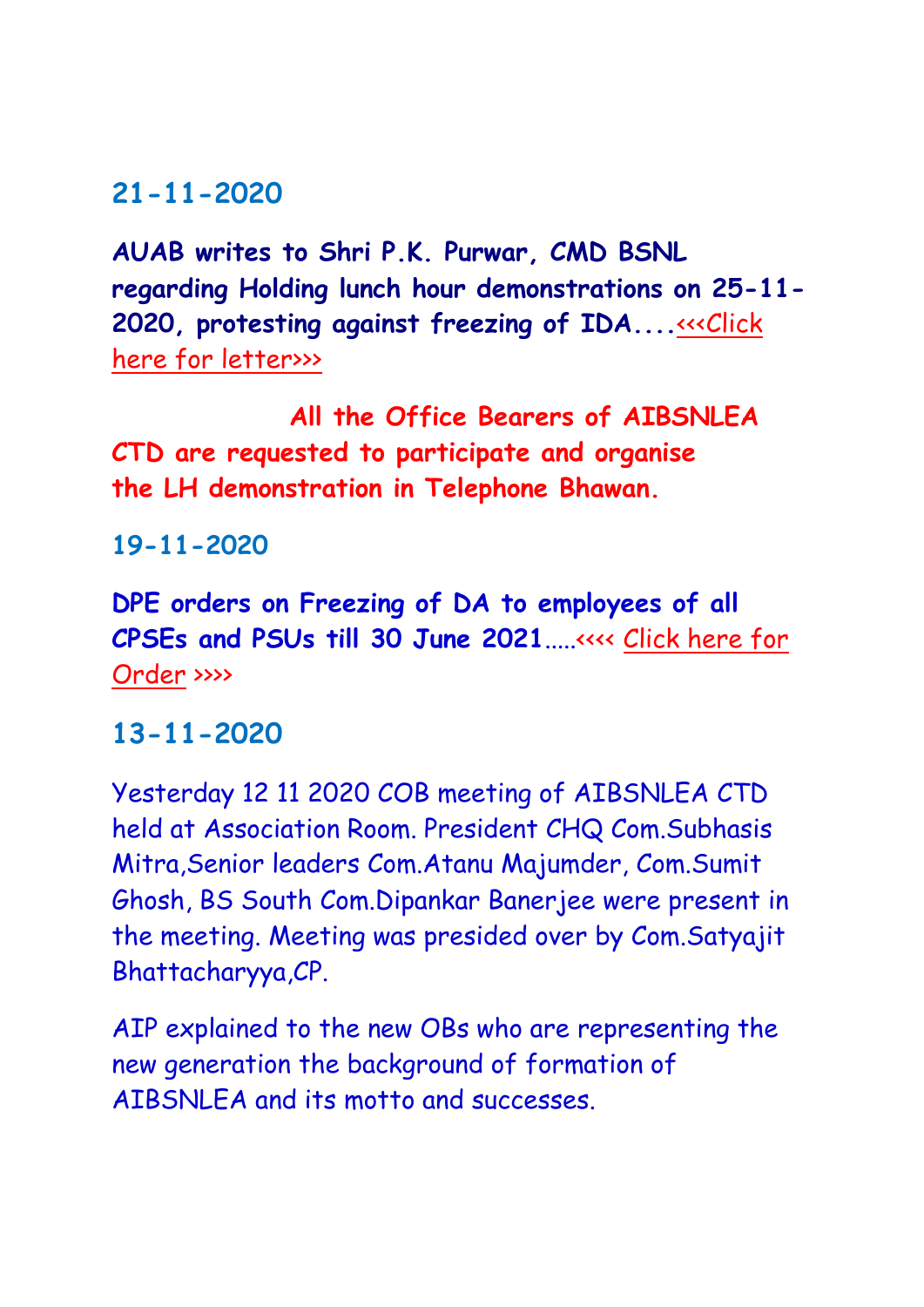### **21-11-2020**

**AUAB writes to Shri P.K. Purwar, CMD BSNL regarding Holding lunch hour demonstrations on 25-11- 2020, protesting against freezing of IDA....**<<< Click [here for letter>>>](http://aibsnleachq.in/lunch%20hour%20demo%20on%2025.11.2020.pdf)

**All the Office Bearers of AIBSNLEA CTD are requested to participate and organise the LH demonstration in Telephone Bhawan.**

**19-11-2020**

**DPE orders on Freezing of DA to employees of all CPSEs and PSUs till 30 June 2021**.....<<<< [Click here for](http://aibsnleawb.org/19112020_Freezing%20DA.pdf)  [Order](http://aibsnleawb.org/19112020_Freezing%20DA.pdf) >>>>

#### **13-11-2020**

Yesterday 12 11 2020 COB meeting of AIBSNLEA CTD held at Association Room. President CHQ Com.Subhasis Mitra,Senior leaders Com.Atanu Majumder, Com.Sumit Ghosh, BS South Com.Dipankar Banerjee were present in the meeting. Meeting was presided over by Com.Satyajit Bhattacharyya,CP.

AIP explained to the new OBs who are representing the new generation the background of formation of AIBSNLEA and its motto and successes.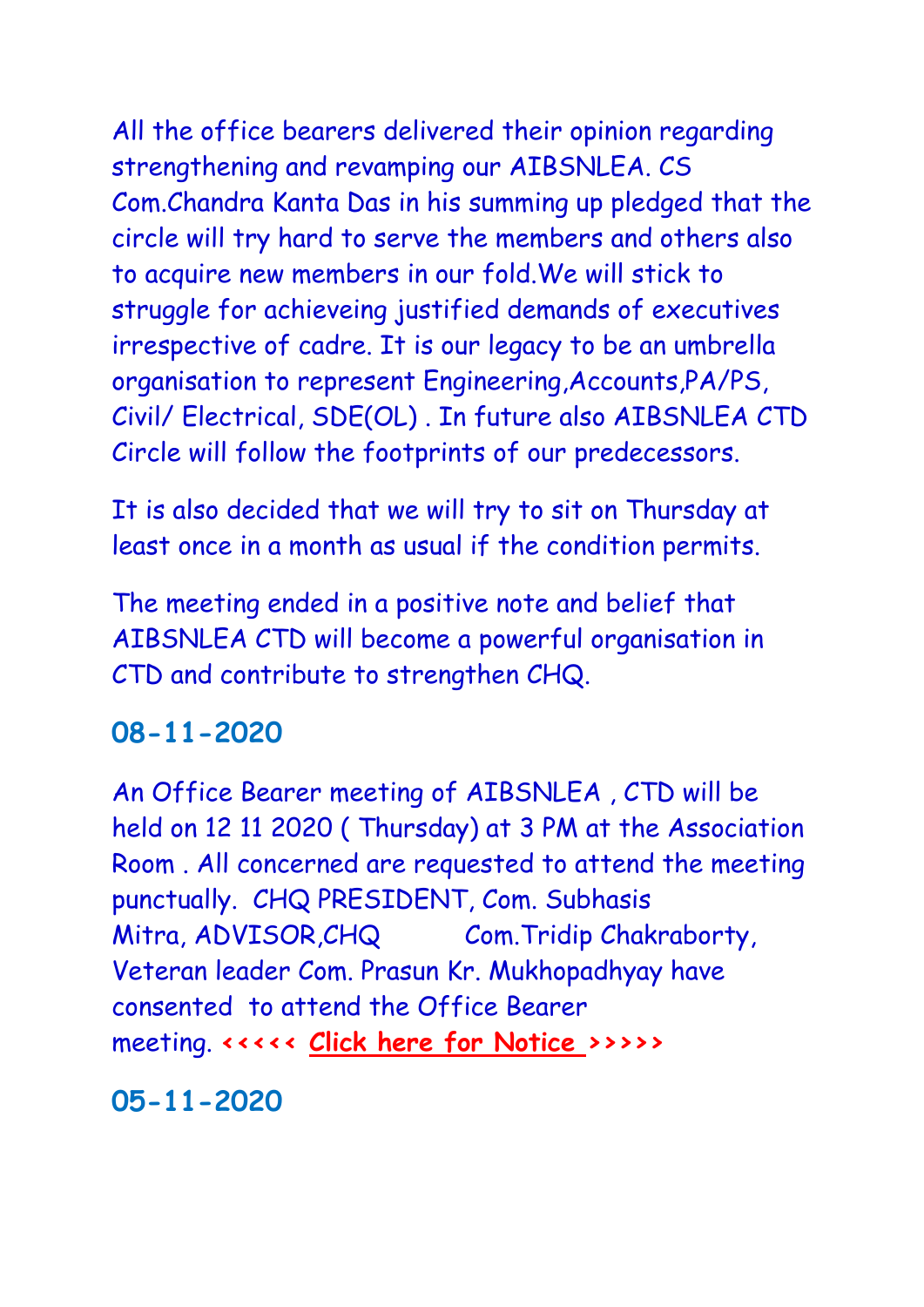All the office bearers delivered their opinion regarding strengthening and revamping our AIBSNLEA. CS Com.Chandra Kanta Das in his summing up pledged that the circle will try hard to serve the members and others also to acquire new members in our fold.We will stick to struggle for achieveing justified demands of executives irrespective of cadre. It is our legacy to be an umbrella organisation to represent Engineering,Accounts,PA/PS, Civil/ Electrical, SDE(OL) . In future also AIBSNLEA CTD Circle will follow the footprints of our predecessors.

It is also decided that we will try to sit on Thursday at least once in a month as usual if the condition permits.

The meeting ended in a positive note and belief that AIBSNLEA CTD will become a powerful organisation in CTD and contribute to strengthen CHQ.

# **08-11-2020**

An Office Bearer meeting of AIBSNLEA , CTD will be held on 12 11 2020 ( Thursday) at 3 PM at the Association Room . All concerned are requested to attend the meeting punctually. CHQ PRESIDENT, Com. Subhasis Mitra, ADVISOR,CHQ Com.Tridip Chakraborty, Veteran leader Com. Prasun Kr. Mukhopadhyay have consented to attend the Office Bearer meeting. **<<<<< [Click here for Notice](http://aibsnleawb.org/Notice%20dt%2005112020.pdf) >>>>>**

**05-11-2020**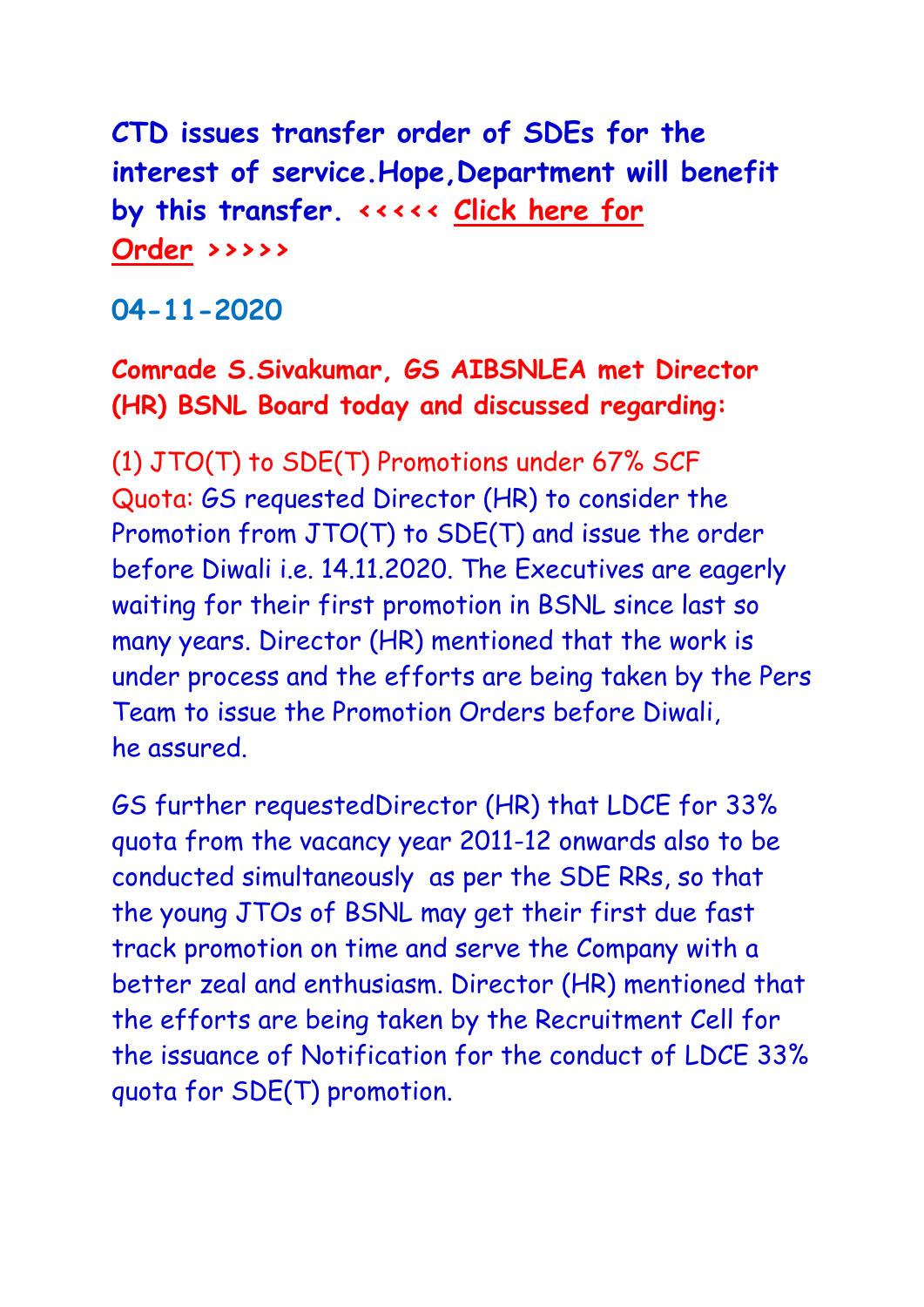**CTD issues transfer order of SDEs for the interest of service.Hope,Department will benefit by this transfer. <<<<< [Click here for](http://aibsnleawb.org/SDE%20DE(LA).pdf)  [Order](http://aibsnleawb.org/SDE%20DE(LA).pdf) >>>>>**

**04-11-2020**

### **Comrade S.Sivakumar, GS AIBSNLEA met Director (HR) BSNL Board today and discussed regarding:**

(1) JTO(T) to SDE(T) Promotions under 67% SCF Quota: GS requested Director (HR) to consider the Promotion from JTO(T) to SDE(T) and issue the order before Diwali i.e. 14.11.2020. The Executives are eagerly waiting for their first promotion in BSNL since last so many years. Director (HR) mentioned that the work is under process and the efforts are being taken by the Pers Team to issue the Promotion Orders before Diwali, he assured.

GS further requestedDirector (HR) that LDCE for 33% quota from the vacancy year 2011-12 onwards also to be conducted simultaneously as per the SDE RRs, so that the young JTOs of BSNL may get their first due fast track promotion on time and serve the Company with a better zeal and enthusiasm. Director (HR) mentioned that the efforts are being taken by the Recruitment Cell for the issuance of Notification for the conduct of LDCE 33% quota for SDE(T) promotion.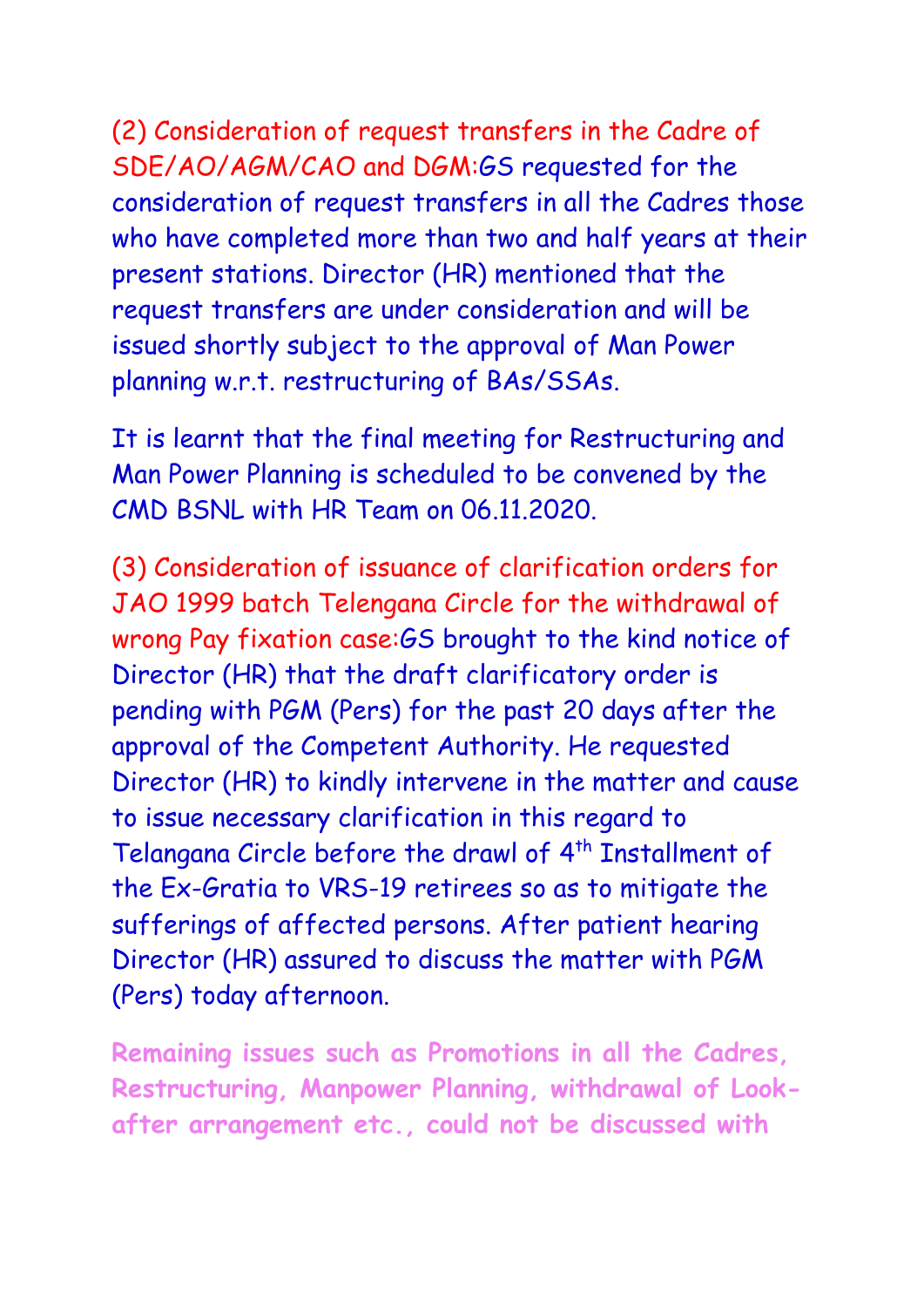(2) Consideration of request transfers in the Cadre of SDE/AO/AGM/CAO and DGM:GS requested for the consideration of request transfers in all the Cadres those who have completed more than two and half years at their present stations. Director (HR) mentioned that the request transfers are under consideration and will be issued shortly subject to the approval of Man Power planning w.r.t. restructuring of BAs/SSAs.

It is learnt that the final meeting for Restructuring and Man Power Planning is scheduled to be convened by the CMD BSNL with HR Team on 06.11.2020.

(3) Consideration of issuance of clarification orders for JAO 1999 batch Telengana Circle for the withdrawal of wrong Pay fixation case:GS brought to the kind notice of Director (HR) that the draft clarificatory order is pending with PGM (Pers) for the past 20 days after the approval of the Competent Authority. He requested Director (HR) to kindly intervene in the matter and cause to issue necessary clarification in this regard to Telangana Circle before the drawl of 4<sup>th</sup> Installment of the Ex-Gratia to VRS-19 retirees so as to mitigate the sufferings of affected persons. After patient hearing Director (HR) assured to discuss the matter with PGM (Pers) today afternoon.

**Remaining issues such as Promotions in all the Cadres, Restructuring, Manpower Planning, withdrawal of Lookafter arrangement etc., could not be discussed with**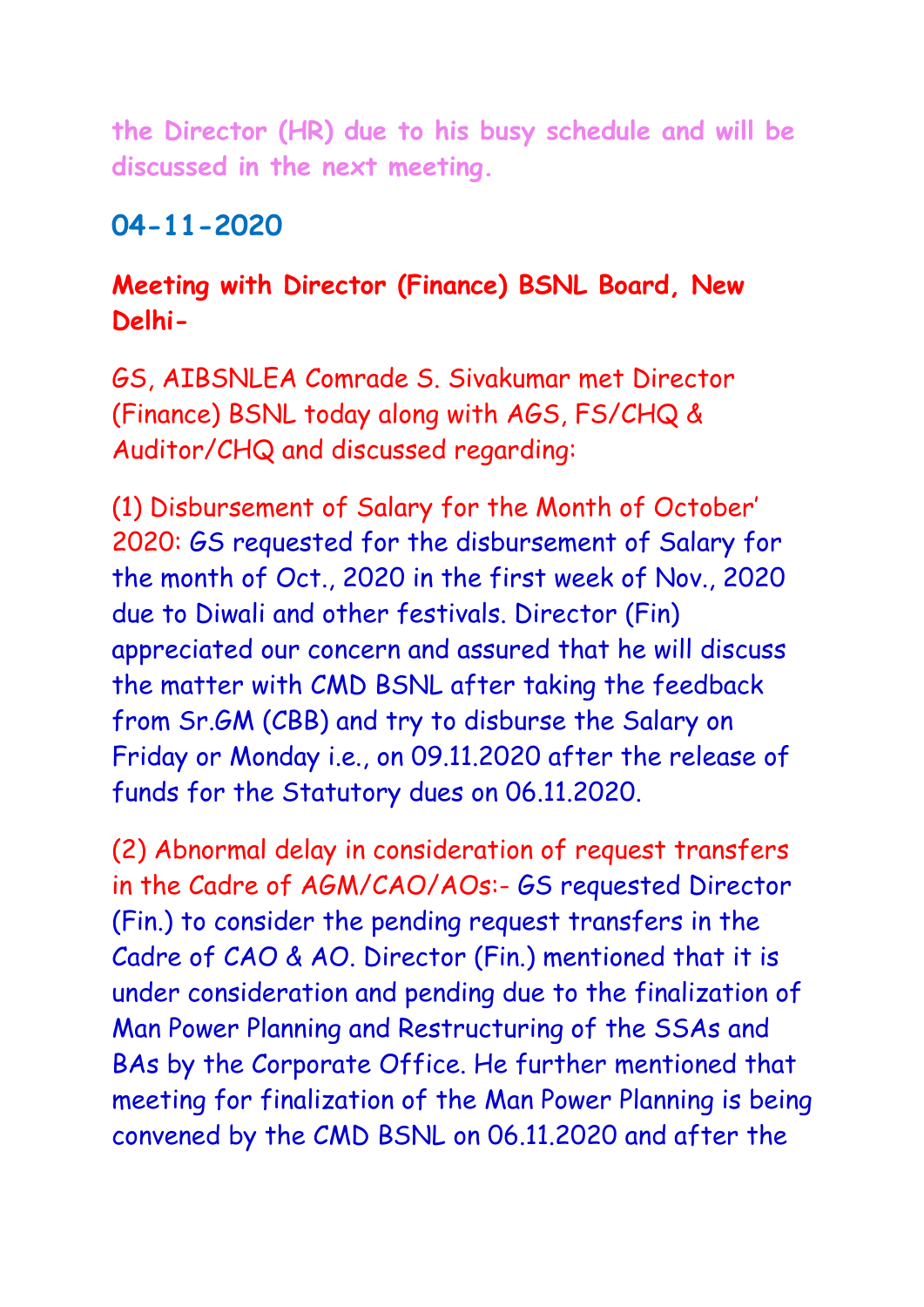**the Director (HR) due to his busy schedule and will be discussed in the next meeting.**

### **04-11-2020**

#### **Meeting with Director (Finance) BSNL Board, New Delhi-**

GS, AIBSNLEA Comrade S. Sivakumar met Director (Finance) BSNL today along with AGS, FS/CHQ & Auditor/CHQ and discussed regarding:

(1) Disbursement of Salary for the Month of October' 2020: GS requested for the disbursement of Salary for the month of Oct., 2020 in the first week of Nov., 2020 due to Diwali and other festivals. Director (Fin) appreciated our concern and assured that he will discuss the matter with CMD BSNL after taking the feedback from Sr.GM (CBB) and try to disburse the Salary on Friday or Monday i.e., on 09.11.2020 after the release of funds for the Statutory dues on 06.11.2020.

(2) Abnormal delay in consideration of request transfers in the Cadre of AGM/CAO/AOs:- GS requested Director (Fin.) to consider the pending request transfers in the Cadre of CAO & AO. Director (Fin.) mentioned that it is under consideration and pending due to the finalization of Man Power Planning and Restructuring of the SSAs and BAs by the Corporate Office. He further mentioned that meeting for finalization of the Man Power Planning is being convened by the CMD BSNL on 06.11.2020 and after the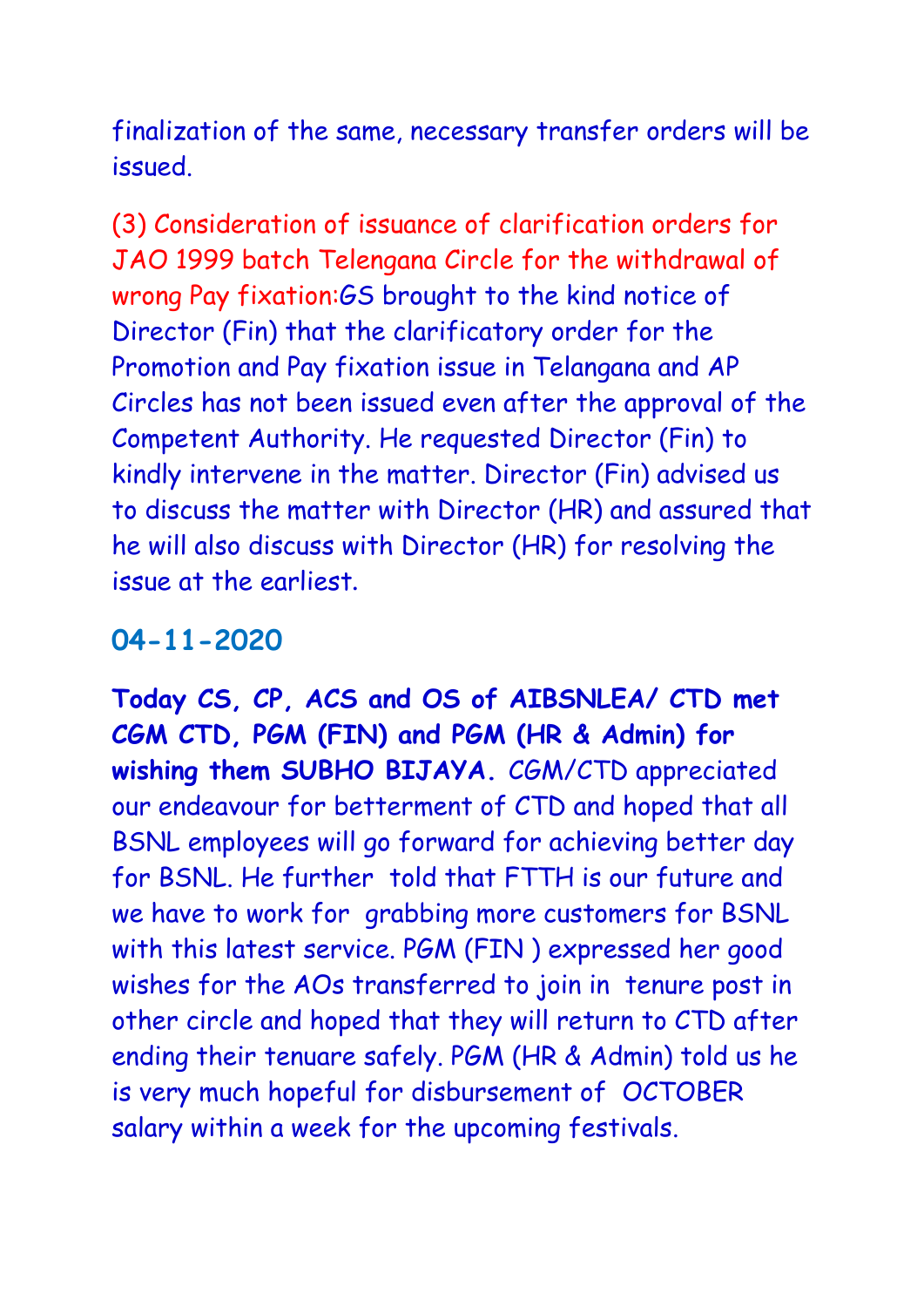finalization of the same, necessary transfer orders will be issued.

(3) Consideration of issuance of clarification orders for JAO 1999 batch Telengana Circle for the withdrawal of wrong Pay fixation:GS brought to the kind notice of Director (Fin) that the clarificatory order for the Promotion and Pay fixation issue in Telangana and AP Circles has not been issued even after the approval of the Competent Authority. He requested Director (Fin) to kindly intervene in the matter. Director (Fin) advised us to discuss the matter with Director (HR) and assured that he will also discuss with Director (HR) for resolving the issue at the earliest**.**

# **04-11-2020**

**Today CS, CP, ACS and OS of AIBSNLEA/ CTD met CGM CTD, PGM (FIN) and PGM (HR & Admin) for wishing them SUBHO BIJAYA.** CGM/CTD appreciated our endeavour for betterment of CTD and hoped that all BSNL employees will go forward for achieving better day for BSNL. He further told that FTTH is our future and we have to work for grabbing more customers for BSNL with this latest service. PGM (FIN ) expressed her good wishes for the AOs transferred to join in tenure post in other circle and hoped that they will return to CTD after ending their tenuare safely. PGM (HR & Admin) told us he is very much hopeful for disbursement of OCTOBER salary within a week for the upcoming festivals.